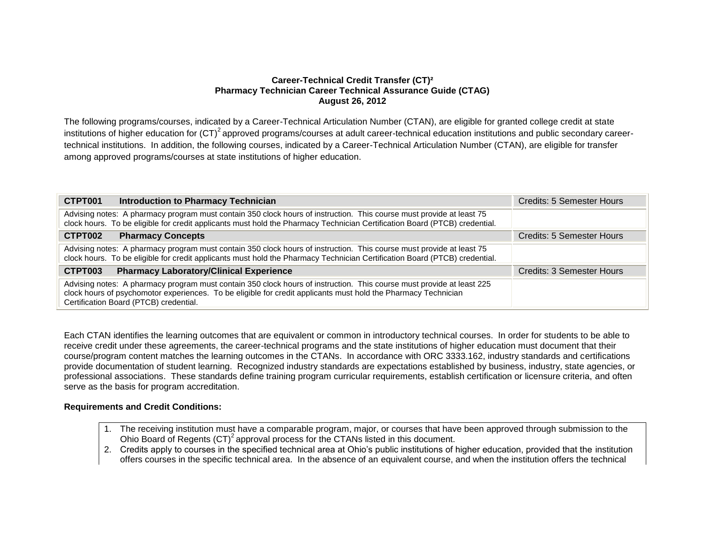## **Career-Technical Credit Transfer (CT)² Pharmacy Technician Career Technical Assurance Guide (CTAG) August 26, 2012**

The following programs/courses, indicated by a Career-Technical Articulation Number (CTAN), are eligible for granted college credit at state institutions of higher education for  $(CT)^2$  approved programs/courses at adult career-technical education institutions and public secondary careertechnical institutions. In addition, the following courses, indicated by a Career-Technical Articulation Number (CTAN), are eligible for transfer among approved programs/courses at state institutions of higher education.

| CTPT001<br><b>Introduction to Pharmacy Technician</b>                                                                                                                                                                                                                             | Credits: 5 Semester Hours |
|-----------------------------------------------------------------------------------------------------------------------------------------------------------------------------------------------------------------------------------------------------------------------------------|---------------------------|
| Advising notes: A pharmacy program must contain 350 clock hours of instruction. This course must provide at least 75<br>clock hours. To be eligible for credit applicants must hold the Pharmacy Technician Certification Board (PTCB) credential.                                |                           |
| CTPT002<br><b>Pharmacy Concepts</b>                                                                                                                                                                                                                                               | Credits: 5 Semester Hours |
| Advising notes: A pharmacy program must contain 350 clock hours of instruction. This course must provide at least 75<br>clock hours. To be eligible for credit applicants must hold the Pharmacy Technician Certification Board (PTCB) credential.                                |                           |
| CTPT003<br><b>Pharmacy Laboratory/Clinical Experience</b>                                                                                                                                                                                                                         | Credits: 3 Semester Hours |
| Advising notes: A pharmacy program must contain 350 clock hours of instruction. This course must provide at least 225<br>clock hours of psychomotor experiences. To be eligible for credit applicants must hold the Pharmacy Technician<br>Certification Board (PTCB) credential. |                           |

Each CTAN identifies the learning outcomes that are equivalent or common in introductory technical courses. In order for students to be able to receive credit under these agreements, the career-technical programs and the state institutions of higher education must document that their course/program content matches the learning outcomes in the CTANs. In accordance with ORC 3333.162, industry standards and certifications provide documentation of student learning. Recognized industry standards are expectations established by business, industry, state agencies, or professional associations. These standards define training program curricular requirements, establish certification or licensure criteria, and often serve as the basis for program accreditation.

## **Requirements and Credit Conditions:**

- 1. The receiving institution must have a comparable program, major, or courses that have been approved through submission to the Ohio Board of Regents (CT)<sup>2</sup> approval process for the CTANs listed in this document.
- 2. Credits apply to courses in the specified technical area at Ohio's public institutions of higher education, provided that the institution offers courses in the specific technical area. In the absence of an equivalent course, and when the institution offers the technical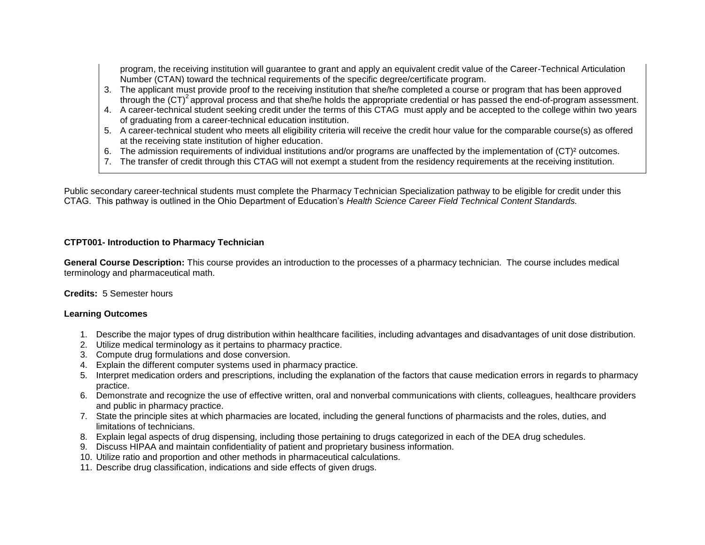program, the receiving institution will guarantee to grant and apply an equivalent credit value of the Career-Technical Articulation Number (CTAN) toward the technical requirements of the specific degree/certificate program.

- 3. The applicant must provide proof to the receiving institution that she/he completed a course or program that has been approved through the  $(CT)^2$  approval process and that she/he holds the appropriate credential or has passed the end-of-program assessment.
- 4. A career-technical student seeking credit under the terms of this CTAG must apply and be accepted to the college within two years of graduating from a career-technical education institution.
- 5. A career-technical student who meets all eligibility criteria will receive the credit hour value for the comparable course(s) as offered at the receiving state institution of higher education.
- 6. The admission requirements of individual institutions and/or programs are unaffected by the implementation of (CT)² outcomes.
- 7. The transfer of credit through this CTAG will not exempt a student from the residency requirements at the receiving institution.

Public secondary career-technical students must complete the Pharmacy Technician Specialization pathway to be eligible for credit under this CTAG. This pathway is outlined in the Ohio Department of Education's *Health Science Career Field Technical Content Standards.*

# **CTPT001- Introduction to Pharmacy Technician**

**General Course Description:** This course provides an introduction to the processes of a pharmacy technician. The course includes medical terminology and pharmaceutical math.

# **Credits:** 5 Semester hours

# **Learning Outcomes**

- 1. Describe the major types of drug distribution within healthcare facilities, including advantages and disadvantages of unit dose distribution.
- 2. Utilize medical terminology as it pertains to pharmacy practice.
- 3. Compute drug formulations and dose conversion.
- 4. Explain the different computer systems used in pharmacy practice.
- 5. Interpret medication orders and prescriptions, including the explanation of the factors that cause medication errors in regards to pharmacy practice.
- 6. Demonstrate and recognize the use of effective written, oral and nonverbal communications with clients, colleagues, healthcare providers and public in pharmacy practice.
- 7. State the principle sites at which pharmacies are located, including the general functions of pharmacists and the roles, duties, and limitations of technicians.
- 8. Explain legal aspects of drug dispensing, including those pertaining to drugs categorized in each of the DEA drug schedules.
- 9. Discuss HIPAA and maintain confidentiality of patient and proprietary business information.
- 10. Utilize ratio and proportion and other methods in pharmaceutical calculations.
- 11. Describe drug classification, indications and side effects of given drugs.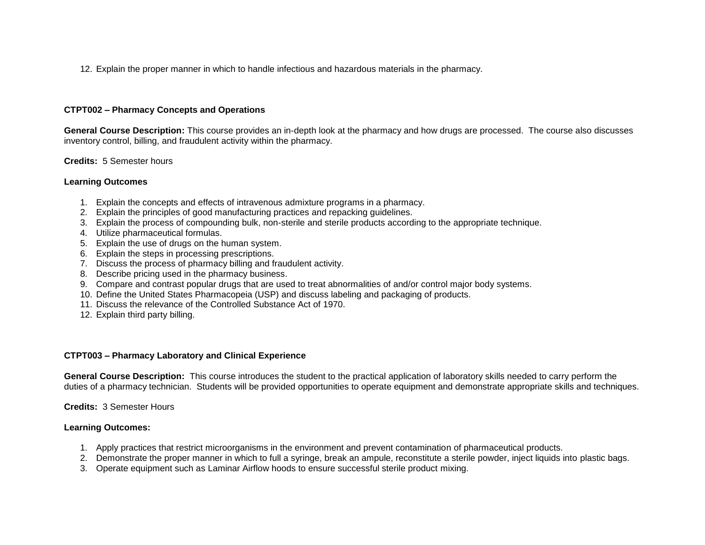12. Explain the proper manner in which to handle infectious and hazardous materials in the pharmacy.

## **CTPT002 – Pharmacy Concepts and Operations**

**General Course Description:** This course provides an in-depth look at the pharmacy and how drugs are processed. The course also discusses inventory control, billing, and fraudulent activity within the pharmacy.

### **Credits:** 5 Semester hours

### **Learning Outcomes**

- 1. Explain the concepts and effects of intravenous admixture programs in a pharmacy.
- 2. Explain the principles of good manufacturing practices and repacking guidelines.
- 3. Explain the process of compounding bulk, non-sterile and sterile products according to the appropriate technique.
- 4. Utilize pharmaceutical formulas.
- 5. Explain the use of drugs on the human system.
- 6. Explain the steps in processing prescriptions.
- 7. Discuss the process of pharmacy billing and fraudulent activity.
- 8. Describe pricing used in the pharmacy business.
- 9. Compare and contrast popular drugs that are used to treat abnormalities of and/or control major body systems.
- 10. Define the United States Pharmacopeia (USP) and discuss labeling and packaging of products.
- 11. Discuss the relevance of the Controlled Substance Act of 1970.
- 12. Explain third party billing.

#### **CTPT003 – Pharmacy Laboratory and Clinical Experience**

**General Course Description:** This course introduces the student to the practical application of laboratory skills needed to carry perform the duties of a pharmacy technician. Students will be provided opportunities to operate equipment and demonstrate appropriate skills and techniques.

**Credits:** 3 Semester Hours

### **Learning Outcomes:**

- 1. Apply practices that restrict microorganisms in the environment and prevent contamination of pharmaceutical products.
- 2. Demonstrate the proper manner in which to full a syringe, break an ampule, reconstitute a sterile powder, inject liquids into plastic bags.
- 3. Operate equipment such as Laminar Airflow hoods to ensure successful sterile product mixing.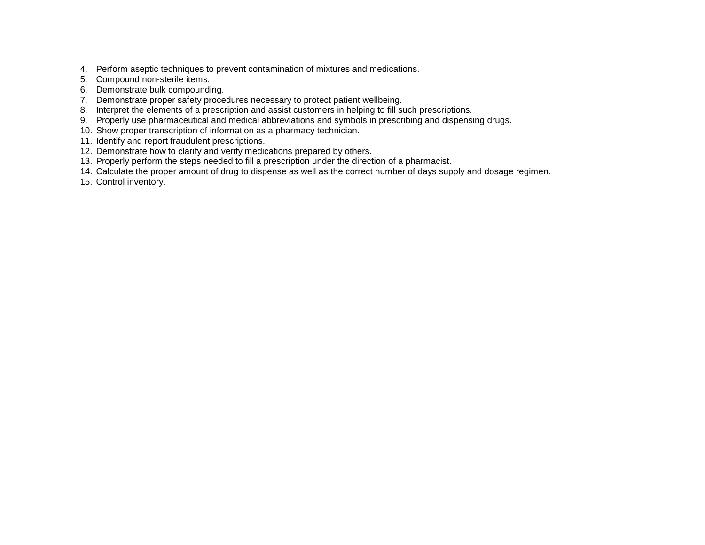- 4. Perform aseptic techniques to prevent contamination of mixtures and medications.
- 5. Compound non-sterile items.
- 6. Demonstrate bulk compounding.
- 7. Demonstrate proper safety procedures necessary to protect patient wellbeing.
- 8. Interpret the elements of a prescription and assist customers in helping to fill such prescriptions.
- 9. Properly use pharmaceutical and medical abbreviations and symbols in prescribing and dispensing drugs.
- 10. Show proper transcription of information as a pharmacy technician.
- 11. Identify and report fraudulent prescriptions.
- 12. Demonstrate how to clarify and verify medications prepared by others.
- 13. Properly perform the steps needed to fill a prescription under the direction of a pharmacist.
- 14. Calculate the proper amount of drug to dispense as well as the correct number of days supply and dosage regimen.
- 15. Control inventory.